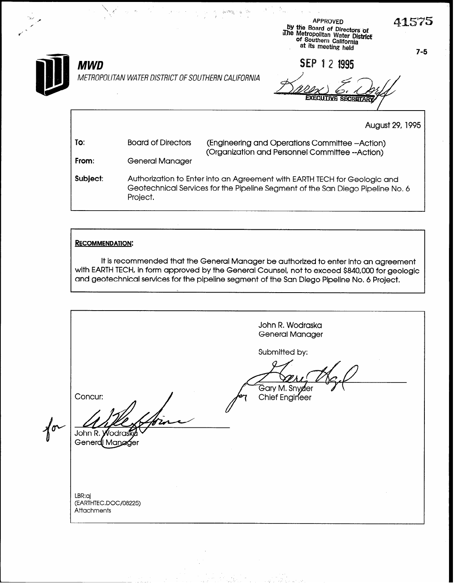g.15'75 APPROVED by the Board of Directors of<br>The Metropolitan Water District or Southern California at its meeting held SEP 1 2 1995 METROPOLITAN WATER DISTRICT OF SOUTHERN CALIFORNIA **EXECUTIVE SECRETARY** August 29, 1995

| To:      | <b>Board of Directors</b> | (Engineering and Operations Committee --Action)                                                                                                             |
|----------|---------------------------|-------------------------------------------------------------------------------------------------------------------------------------------------------------|
| From:    | General Manager           | (Organization and Personnel Committee --Action)                                                                                                             |
| Subject: | Project.                  | Authorization to Enter into an Agreement with EARTH TECH for Geologic and<br>Geotechnical Services for the Pipeline Segment of the San Diego Pipeline No. 6 |

 $\mathbb{R}^p \cong \mathbb{R}^p \times \mathbb{R}^p$ 

#### RECOMMENDATION:

**MWD** 

It is recommended that the General Manager be authorized to enter into an agreement with EARTH TECH, in form approved by the General Counsel, not to exceed \$840,000 for geologic and geotechnical services for the pipeline segment of the San Diego Pipeline No. 6 Project,

John R. Wodraska General Manager Submitted by: Gary M. Snyder<br>Chief Engineer Concur:  $\sqrt[4]{\sigma}$ John R. Wodras Generd Manager LBR:aj<br>(EARTHTEC.DOC/08225)  $\sum_{n=1}^{\infty}$ Attachments

7-5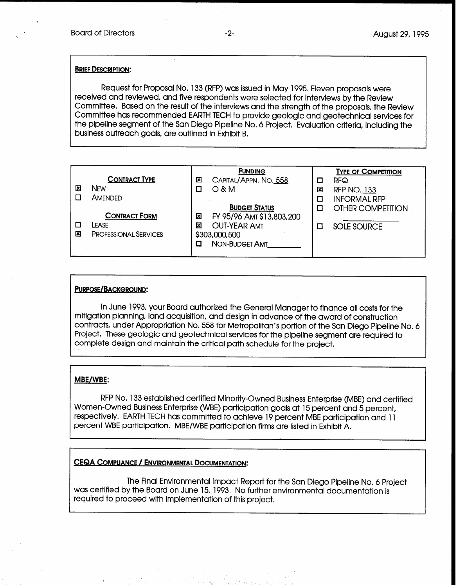#### **BRIEF DESCRIPTION:**

Request for Proposal No. 133 (RFP) was issued in May 1995. Eleven proposals were received and reviewed, and five respondents were selected for interviews by the Review Committee. Based on the result of the interviews and the strength of the proposals, the Review Committee has recommended EARTH TECH to provide geologic and geotechnical services for the pipeline segment of the San Diego Pipeline No. 6 Project. Evaluation criteria, including the business outreach goals, are outlined in Exhibit B.

|   |                              | <b>FUNDING</b>                 |   | <b>TYPE OF COMPETITION</b> |
|---|------------------------------|--------------------------------|---|----------------------------|
|   | <b>CONTRACT TYPE</b>         | CAPITAL/APPN. NO. 558<br>図     | □ | RFQ                        |
| 図 | NFW                          | $O$ & M                        | 図 | <b>RFP NO. 133</b>         |
|   | AMENDED                      |                                | □ | <b>INFORMAL RFP</b>        |
|   |                              | <b>BUDGET STATUS</b>           | п | OTHER COMPETITION          |
|   | <b>CONTRACT FORM</b>         | FY 95/96 AMT \$13,803,200<br>図 |   |                            |
|   | LEASE                        | <b>OUT-YEAR AMT</b><br>図       | п | <b>SOLE SOURCE</b>         |
| × | <b>PROFESSIONAL SERVICES</b> | \$303,000,500                  |   |                            |
|   |                              | <b>NON-BUDGET AMT</b>          |   |                            |
|   |                              |                                |   |                            |

#### PURPOSE/BACKGROUND:

In June 1993, your Board authorized the General Manager to finance all costs for the mitigation planning, land acquisition, and design in advance of the award of construction contracts, under Appropriation No. 558 for Metropolitan's portion of the San Diego Pipeline No, 6 Project, These geologic and geotechnical services for the pipeline segment are required to complete design and maintain the critical path schedule for the project.

#### MBE/WBE:

RFP No. 133 established certified Minority-Owned Business Enterprise (MBE) and certified Women-Owned Business Enterprise (WBE) participation goals at 15 percent and 5 percent, respectively, EARTH TECH has committed to achieve 19 percent MBE participation and 11 percent WBE participation. MBE/WBE participation firms are listed in Exhibit A,

#### CEQA COMPLIANCE / ENVIRONMENTAL DOCUMENTATION:

The Final Environmental Impact Report for the San Diego Pipeline No, 6 Project was certified by the Board on June 15, 1993, No further environmental documentation is required to proceed with implementation of this project.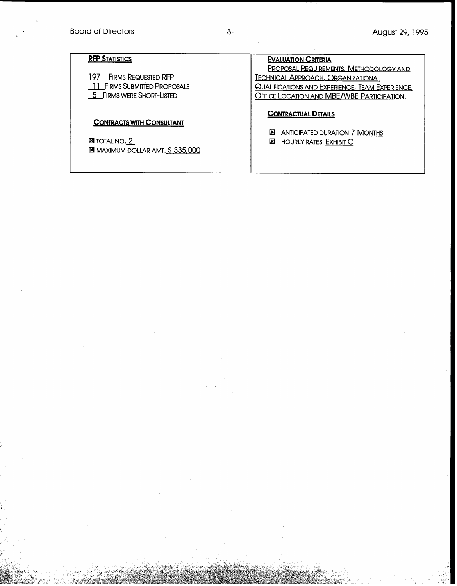# Board of Directors **-3-** August 29, 1995

| <b>RFP STATISTICS</b>                                                                               | <b>EVALUATION CRITERIA</b>                                                                                                                                                                                |
|-----------------------------------------------------------------------------------------------------|-----------------------------------------------------------------------------------------------------------------------------------------------------------------------------------------------------------|
| <b>FIRMS REQUESTED RFP</b><br>197.<br>11 FIRMS SUBMITTED PROPOSALS<br>5 FIRMS WERE SHORT-LISTED     | <b>PROPOSAL REQUIREMENTS, METHODOLOGY AND</b><br><b>TECHNICAL APPROACH, ORGANIZATIONAL</b><br><b>QUALIFICATIONS AND EXPERIENCE, TEAM EXPERIENCE,</b><br><b>OFFICE LOCATION AND MBE/WBE PARTICIPATION.</b> |
| <b>CONTRACTS WITH CONSULTANT</b><br><b>ES</b> TOTAL NO. 2<br><b>E MAXIMUM DOLLAR AMT. \$335,000</b> | <b>CONTRACTUAL DETAILS</b><br>図<br><b>ANTICIPATED DURATION 7 MONTHS</b><br>図<br><b>HOURLY RATES EXHIBIT C</b>                                                                                             |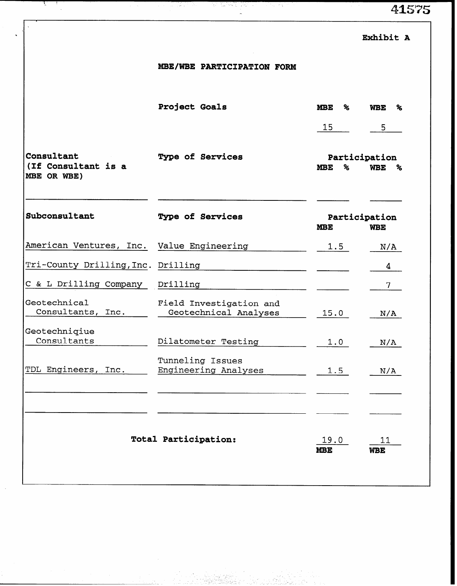41575

|                                                  | MBE/WBE PARTICIPATION FORM                       |                                           |                                  |  |  |
|--------------------------------------------------|--------------------------------------------------|-------------------------------------------|----------------------------------|--|--|
|                                                  | Project Goals                                    | <b>MBE</b><br>℅                           | <b>WBE</b><br>℅                  |  |  |
|                                                  |                                                  | 15                                        | 5                                |  |  |
| Consultant<br>(If Consultant is a<br>MBE OR WBE) | <b>Type of Services</b>                          | ℅<br><b>MBE</b>                           | Participation<br><b>WBE</b><br>% |  |  |
| Subconsultant                                    | Type of Services                                 | Participation<br><b>MBE</b><br><b>WBE</b> |                                  |  |  |
| American Ventures, Inc. Value Engineering        |                                                  | 1.5                                       | N/A                              |  |  |
| Tri-County Drilling, Inc. Drilling               |                                                  |                                           | 4                                |  |  |
| C & L Drilling Company                           | Drilling                                         |                                           | 7                                |  |  |
| Geotechnical<br>Consultants, Inc.                | Field Investigation and<br>Geotechnical Analyses | 15.0                                      | N/A                              |  |  |
| Geotechniqiue<br>Consultants                     | Dilatometer Testing                              | 1.0                                       | N/A                              |  |  |
| TDL Engineers, Inc.                              | Tunneling Issues<br>Engineering Analyses         | 1.5                                       | N/A                              |  |  |
|                                                  |                                                  |                                           |                                  |  |  |
|                                                  | <b>Total Participation:</b>                      | 19.0<br><b>MBE</b>                        | 11<br><b>WBE</b>                 |  |  |

 $\zeta$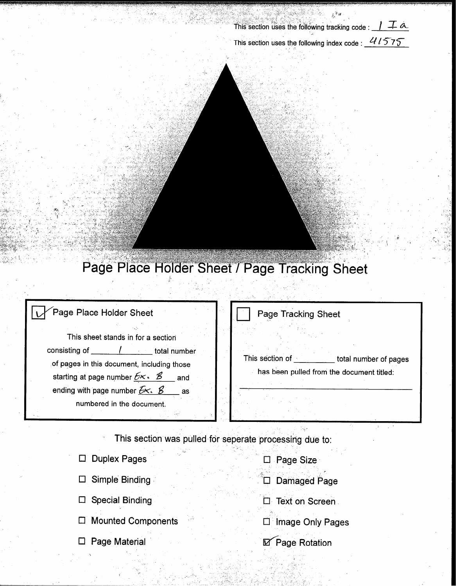This section uses the following tracking code :  $\int \mathcal{I} \mathcal{A}$ 

This section uses the following index code :  $41575$ 

# Page Place Holder Sheet / Page Tracking Sheet

## Page Place Holder Sheet Page Tracking Sheet This sheet stands in for a section consisting of [13] consisting of [13] consisting of [13] consisting of [13] consisting of [13] consisting of [13] consisting of [13] consisting of [13] consisting of [13] consisting of [13] consisting of [13] consisting of This section of total number of pages of pages in this document, including those has been pulled from the document titled: starting at page number  $E \times E$ . and ending with page number  $E \times E$ as numbered in the document. This section was pulled for seperate processing due to: D Duplex Pages □ Page Size

Simple Binding  $\Box$ 

 $\Box$  Special Binding

□ Mounted Components

 $\Box$  Page Material

D Damaged Page

**C** Text on Screen

□ Image Only Pages

**Ø** Page Rotation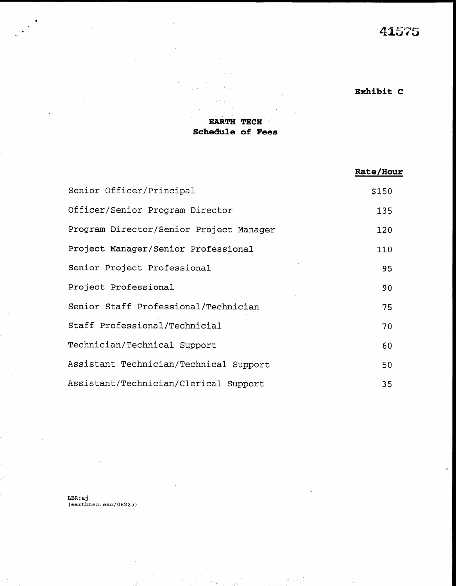# 41575

# Exhibit C

### EARTH TECH Schedule of Fees

|                                         | Rate/Hour |
|-----------------------------------------|-----------|
| Senior Officer/Principal                | \$150     |
| Officer/Senior Program Director         | 135       |
| Program Director/Senior Project Manager | 120       |
| Project Manager/Senior Professional     | 110       |
| Senior Project Professional             | 95        |
| Project Professional                    | 90        |
| Senior Staff Professional/Technician    | 75        |
| Staff Professional/Technicial           | 70        |
| Technician/Technical Support            | 60        |
| Assistant Technician/Technical Support  | 50        |
| Assistant/Technician/Clerical Support   | 35        |

 $LBR:a1$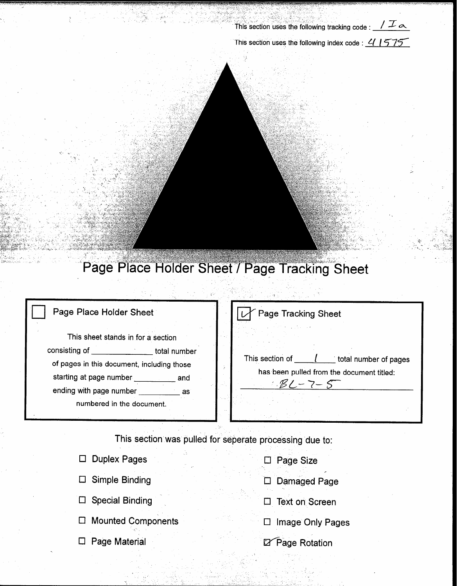This section uses the following tracking code :  $\sqrt{\mathcal{I}}$   $\alpha$ 

This section uses the following index code :  $41575$ 

an Indonesia<br>Kacamatan ing Kabupatèn K

# Page Place Holder Sheet / Page Tracking Sheet

 $\frac{1}{\sqrt{2}}$ 

| Page Place Holder Sheet                                                                                                                                                                                           |  | Page Tracking Sheet                                                                   |  |  |
|-------------------------------------------------------------------------------------------------------------------------------------------------------------------------------------------------------------------|--|---------------------------------------------------------------------------------------|--|--|
| This sheet stands in for a section<br>consisting of<br>total number<br>of pages in this document, including those<br>starting at page number<br>and<br>ending with page number<br>as<br>numbered in the document. |  | This section of<br>total number of pages<br>has been pulled from the document titled: |  |  |

This section was pulled for seperate processing due to:

| <b>Duplex Pages</b>    | Page Size           |
|------------------------|---------------------|
| Simple Binding         | <b>Damaged Page</b> |
| <b>Special Binding</b> | Text on Screen      |
| □ Mounted Components   | Image Only Pages    |
| Page Material          | Page Rotation       |
|                        |                     |